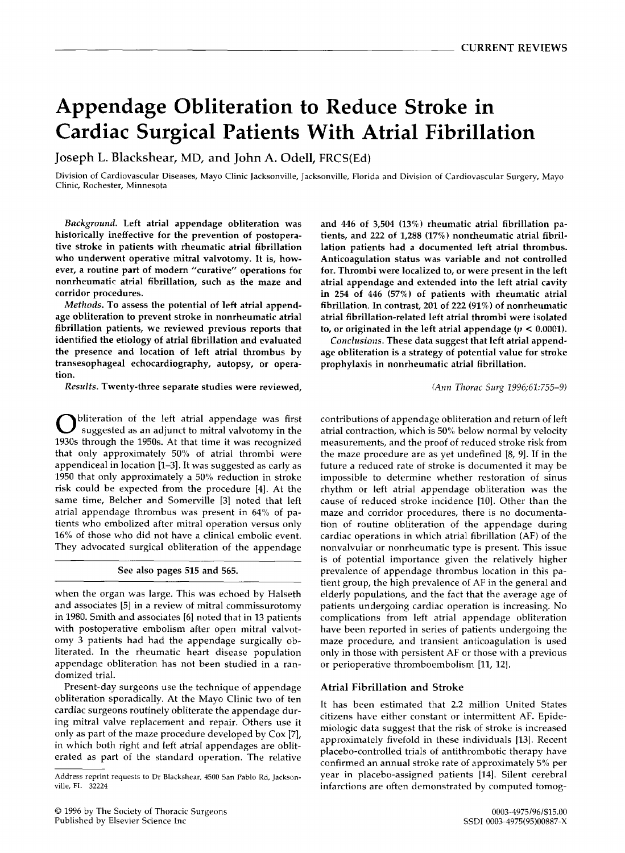# **Appendage Obliteration to Reduce Stroke in Cardiac Surgical Patients With Atrial Fibrillation**

Joseph L. Blackshear, MD, and John **A. Odell,** FRCS(Ed)

Division of Cardiovascular Diseases, Mayo Clinic Jacksonville, Jacksonville, Florida and Division of Cardiovascular Surgery, Mayo Clinic, Rochester, Minnesota

*Background.* **Left atrial appendage obliteration was historically ineffective for the prevention of postoperative stroke in patients with rheumatic atrial fibrillation who underwent operative mitral valvotomy. It is, however, a routine part of modern "curative" operations for nonrheumatic atrial fibrillation, such as the maze and corridor procedures.** 

*Methods.* **To assess the potential of left atrial appendage obliteration to prevent stroke in nonrheumatic atrial fibrillation patients, we reviewed previous reports that identified the etiology of atrial fibrillation and evaluated the presence and location of left atrial thrombus by transesophageal echocardiography, autopsy, or operation.** 

*Results.* **Twenty-three separate studies were reviewed,** 

**O** bliteration of the left atrial appendage was first suggested as an adjunct to mitral valvotomy in the 1930s through the 1950s. At that time it was recognized that only approximately 50% of atrial thrombi were appendiceal in location [1-3]. It was suggested as early as 1950 that only approximately a 50% reduction in stroke risk could be expected from the procedure [4]. At the same time, Belcher and Somerville [3] noted that left atrial appendage thrombus was present in 64% of patients who embolized after mitral operation versus only 16% of those who did not have a clinical embolic event. They advocated surgical obliteration of the appendage

#### **See also pages 515 and 565.**

when the organ was large. This was echoed by Halseth and associates [5] in a review of mitral commissurotomy in 1980. Smith and associates [6] noted that in 13 patients with postoperative embolism after open mitral valvotomy 3 patients had had the appendage surgically obliterated. In the rheumatic heart disease population appendage obliteration has not been studied in a randomized trial.

Present-day surgeons use the technique of appendage obliteration sporadically. At the Mayo Clinic two of **ten**  cardiac surgeons routinely obliterate the appendage during mitral valve replacement and repair. Others use it only as part of the maze procedure developed by Cox [7], in which both right and left atrial appendages are obliterated as part of the standard operation. The relative

**and 446 of 3,504 (13%) rheumatic atrial fibrillation patients, and 222 of 1,288 (17%) nonrheumatic atrial fibrillation patients had a documented left atrial thrombus. Anticoagulation status was variable and not controlled for. Thrombi were localized to, or were present in the left atrial appendage and extended into the left atrial cavity in 254 of 446 (57%) of patients with rheumatic atrial fibrillation. In contrast, 201 of 222 (91%) of nonrheumatic atrial fibrillation-related left atrial thrombi were isolated**  to, or originated in the left atrial appendage  $(p < 0.0001)$ .

*Conclusions.* **These data suggest that left atrial appendage obliteration is a strategy of potential value for stroke prophylaxis in nonrheumatic atrial fibrillation.** 

*(Ann Thorac Surg 1996;61:755-9)* 

contributions of appendage obliteration and return of left atrial contraction, which is 50% below normal by velocity measurements, and the proof of reduced stroke risk from the maze procedure are as yet undefined [8, 9]. If in the future a reduced rate of stroke is documented it may be impossible to determine whether restoration of sinus rhythm or left atrial appendage obliteration was the cause of reduced stroke incidence [10]. Other than the maze and corridor procedures, there is no documentation of routine obliteration of the appendage during cardiac operations in which atrial fibrillation (AF) of the nonvalvular or nonrheumatic type is present. This issue is of potential importance given the relatively higher prevalence of appendage thrombus location in this patient group, the high prevalence of AF in the general and elderly populations, and the fact that the average age of patients undergoing cardiac operation is increasing. No complications from left atrial appendage obliteration have been reported in series of patients undergoing the maze procedure, and transient anticoagulation is used only in those with persistent AF or those with a previous or perioperative thromboembolism [11, 12].

## **Atrial Fibrillation and Stroke**

It has been estimated that 2.2 million United States citizens have either constant or intermittent AF. Epidemiologic data suggest that the risk of stroke is increased approximately fivefold in these individuals [13]. Recent placebo-controlled trials of antithrombotic therapy have confirmed an annual stroke rate of approximately 5% per year in placebo-assigned patients [14]. Silent cerebral infarctions are often demonstrated by computed tomog-

Address reprint requests to Dr Blackshear, 4500 San Pablo Rd, Jacksonville, FL 32224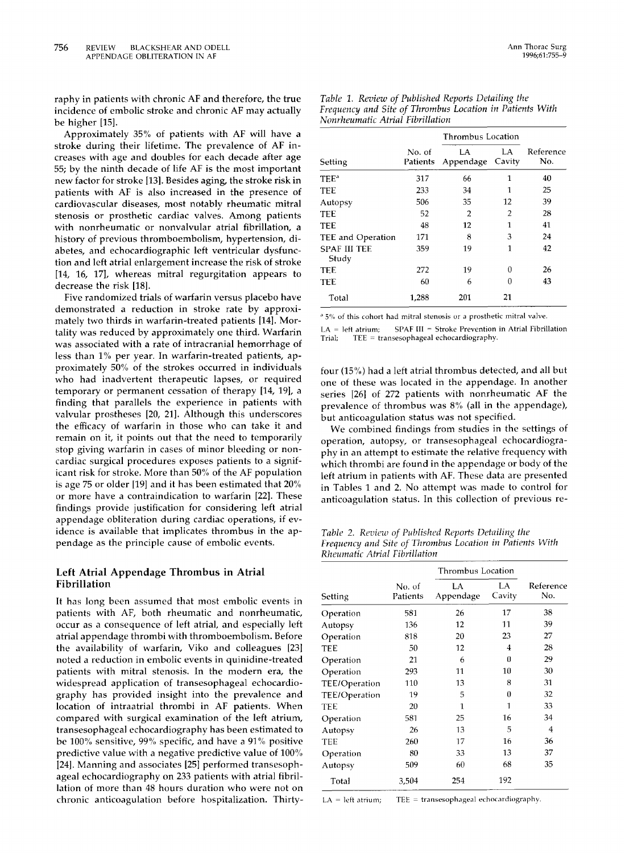raphy in patients with chronic AF and therefore, the true incidence of embolic stroke and chronic AF may actually be higher [15].

Approximately 35% of patients with AF will have a stroke during their lifetime. The prevalence of AF increases with age and doubles for each decade after age 55; by the ninth decade of life AF is the most important new factor for stroke [13]. Besides aging, the stroke risk in patients with AF is also increased in the presence of cardiovascular diseases, most notably rheumatic mitral stenosis or prosthetic cardiac valves. Among patients with nonrheumatic or nonvalvular atrial fibrillation, a history of previous thromboembolism, hypertension, diabetes, and echocardiographic left ventricular dysfunction and left atrial enlargement increase the risk of stroke [14, 16, 17], whereas mitral regurgitation appears to decrease the risk [18].

Five randomized trials of warfarin versus placebo have demonstrated a reduction in stroke rate by approximately two thirds in warfarin-treated patients [14]. Mortality was reduced by approximately one third. Warfarin was associated with a rate of intracranial hemorrhage of less than 1% per year. In warfarin-treated patients, approximately 50% of the strokes occurred in individuals who had inadvertent therapeutic lapses, or required temporary or permanent cessation of therapy [14, 19], a finding that parallels the experience in patients with valvular prostheses [20, 21]. Although this underscores the efficacy of warfarin in those who can take it and remain on it, it points out that the need to temporarily stop giving warfarin in cases of minor bleeding or noncardiac surgical procedures exposes patients to a significant risk for stroke. More than 50% of the AF population is age 75 or older [19] and it has been estimated that 20% or more have a contraindication to warfarin [22]. These findings provide justification for considering left atrial appendage obliteration during cardiac operations, if evidence is available that implicates thrombus in the appendage as the principle cause of embolic events.

### **Left Atrial Appendage Thrombus in Atrial Fibrillation**

It has long been assumed that most embolic events in patients with AF, both rheumatic and nonrheumatic, occur as a consequence of left atrial, and especially left atrial appendage thrombi with thromboembolism. Before the availability of warfarin, Viko and colleagues [23] noted a reduction in embolic events in quinidine-treated patients with mitral stenosis. In the modern era, the widespread application of transesophageal echocardiography has provided insight into the prevalence and location of intraatrial thrombi in AF patients. When compared with surgical examination of the left atrium, transesophageal echocardiography has been estimated to be 100% sensitive, 99% specific, and have a 91% positive predictive value with a negative predictive value of 100% I24]. Manning and associates [25] performed transesophageal echocardiography on 233 patients with atrial fibrillation of more than 48 hours duration who were not on chronic anticoagulation before hospitalization. Thirty-

|                              | <b>Thrombus Location</b> |                 |              |                  |
|------------------------------|--------------------------|-----------------|--------------|------------------|
| Setting                      | No. of<br>Patients       | LA<br>Appendage | LA<br>Cavity | Reference<br>No. |
| $\mathrm{TEE}^\mathrm{a}$    | 317                      | 66              | 1            | 40               |
| TEE                          | 233                      | 34              | 1            | 25               |
| Autopsy                      | 506                      | 35              | 12           | 39               |
| TEE                          | 52                       | 2               | 2            | 28               |
| TEE                          | 48                       | 12              | 1            | 41               |
| TEE and Operation            | 171                      | 8               | 3            | 24               |
| <b>SPAF III TEE</b><br>Study | 359                      | 19              | 1            | 42               |
| TEE                          | 272                      | 19              | 0            | 26               |
| TEE                          | 60                       | 6               | 0            | 43               |
| Total                        | 1,288                    | 201             | 21           |                  |

*Table 1. Review of Published Reports Detailing the Frequency and Site of Thrombus Location in Patients With Nonrheumatic Atrial Fibrillation* 

<sup>a</sup> 5% of this cohort had mitral stenosis or a prosthetic mitral valve.

 $LA = left$  atrium; SPAF III = Stroke Prevention in Atrial Fibrillation Trial; TEE = transesophageal echocardiography.

four (15%) had a left atrial thrombus detected, and all but one of these was located in the appendage. In another series [26] of 272 patients with nonrheumatic AF the prevalence of thrombus was 8% (all in the appendage), but anticoagulation status was not specified.

We combined findings from studies in the settings of operation, autopsy, or transesophageal echocardiography in an attempt to estimate the relative frequency with which thrombi are found in the appendage or body of the left atrium in patients with AF. These data are presented in Tables 1 and 2. No attempt was made to control for anticoagulation status. In this collection of previous re-

*Table 2. Review of Published Reports Detailing the Frequency and Site of Thrombus Location in Patients With Rheumatic Atrial Fibrillation* 

| Setting       | No. of<br>Patients | LA<br>Appendage | LA<br>Cavity | Reference<br>No. |
|---------------|--------------------|-----------------|--------------|------------------|
| Operation     | 581                | 26              | 17           | 38               |
| Autopsy       | 136                | 12              | 11           | 39               |
| Operation     | 818                | 20              | 23           | 27               |
| TEE           | 50                 | 12              | 4            | 28               |
| Operation     | 21                 | 6               | 0            | 29               |
| Operation     | 293                | 11              | 10           | 30               |
| TEE/Operation | 110                | 13              | 8            | 31               |
| TEE/Operation | 19                 | 5               | 0            | 32               |
| TEE           | 20                 | 1               | $\mathbf{1}$ | 33               |
| Operation     | 581                | 25              | 16           | 34               |
| Autopsy       | 26                 | 13              | 5            | 4                |
| TEE           | 260                | 17              | 16           | 36               |
| Operation     | 80                 | 33              | 13           | 37               |
| Autopsy       | 509                | 60              | 68           | 35               |
| Total         | 3,504              | 254             | 192          |                  |

 $LA = left$  atrium; TEE = transesophageal echocardiography.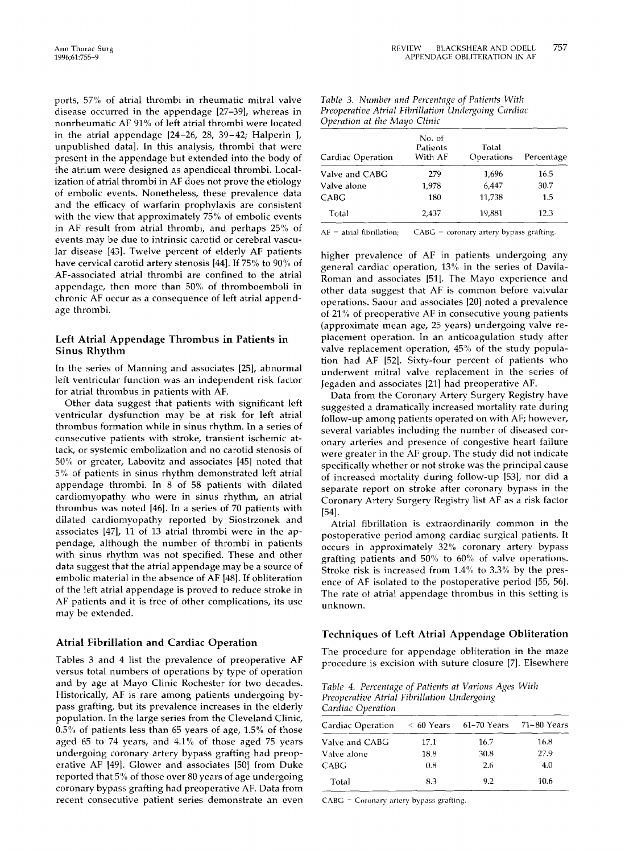ports, 57% of atrial thrombi in rheumatic mitral valve disease occurred in the appendage [27-39], whereas in nonrheumatic AF 91% of left atrial thrombi were located in the atrial appendage [24-26, 28, 39-42; Halperin J, unpublished data]. In this analysis, thrombi that were present in the appendage but extended into the body of the atrium were designed as apendiceal thrombi. Localization of atrial thrombi in AF does not prove the etiology of embolic events. Nonetheless, these prevalence data and the efficacy of warfarin prophylaxis are consistent with the view that approximately 75% of embolic events in AF result from atrial thrombi, and perhaps 25% of events may be due to intrinsic carotid or cerebral vascular disease [43]. Twelve percent of elderly AF patients have cervical carotid artery stenosis [44]. If 75% to 90% of AF-associated atrial thrombi are confined to the atrial appendage, then more than 50% of thromboemboli in chronic AF occur as a consequence of left atrial appendage thrombi.

## **Left Atrial Appendage Thrombus in Patients in Sinus Rhythm**

In the series of Manning and associates [25[, abnormal left ventricular function was an independent risk factor for atrial thrombus in patients with AF.

Other data suggest that patients with significant left ventricular dysfunction may be at risk for left atrial thrombus formation while in sinus rhythm. In a series of consecutive patients with stroke, transient ischemic attack, or systemic embolization and no carotid stenosis of 50% or greater, Labovitz and associates [45] noted that 5% of patients in sinus rhythm demonstrated left atrial appendage thrombi. In 8 of 58 patients with dilated cardiomyopathy who were in sinus rhythm, an atrial thrombus was noted [46]. In a series of 70 patients with dilated cardiomyopathy reported by Siostrzonek and associates [47], 11 of 13 atrial thrombi were in the appendage, although the number of thrombi in patients with sinus rhythm was not specified. These and other data suggest that the atrial appendage may be a source of embolic material in the absence of AF [48]. If obliteration of the left atrial appendage is proved to reduce stroke in AF patients and it is free of other complications, its use may be extended.

#### **Atrial Fibrillation and Cardiac Operation**

Tables 3 and 4 list the prevalence of preoperative AF versus total numbers of operations by type of operation and by age at Mayo Clinic Rochester for two decades. Historically, AF is rare among patients undergoing bypass grafting, but its prevalence increases in the elderly population. In the large series from the Cleveland Clinic, 0.5% of patients less than 65 years of age, 1.5% of those aged 65 to 74 years, and 4.1% of those aged 75 years undergoing coronary artery bypass grafting had preoperative AF [49]. Glower and associates [50] from Duke reported that 5% of those over 80 years of age undergoing coronary bypass grafting had preoperative AF. Data from recent consecutive patient series demonstrate an even

| Cardiac Operation | No. of<br>Patients<br>With AF | Total<br>Operations | Percentage |
|-------------------|-------------------------------|---------------------|------------|
| Valve and CABG    | 279                           | 1,696               | 16.5       |
| Valve alone       | 1,978                         | 6,447               | 30.7       |
| CABG              | 180                           | 11,738              | 1.5        |
| Total             | 2,437                         | 19.881              | 12.3       |

| Table 3. Number and Percentage of Patients With     |  |
|-----------------------------------------------------|--|
| Preoperative Atrial Fibrillation Undergoing Cardiac |  |
| Operation at the Mayo Clinic                        |  |

 $AF =$  atrial fibrillation; CABG = coronary artery bypass grafting.

higher prevalence of AF in patients undergoing any general cardiac operation, 13% in the series of Davila-Roman and associates [51]. The Mayo experience and other data suggest that AF is common before valvular operations. Saour and associates ]20] noted a prevalence of 21% of preoperative AF in consecutive young patients (approximate mean age, 25 years) undergoing valve replacement operation. In an anticoagulation study after valve replacement operation, 45% of the study population had AF [52]. Sixty-four percent of patients who underwent mitral valve replacement in the series of Jegaden and associates [21] had preoperative AF.

Data from the Coronary Artery Surgery Registry have suggested a dramatically increased mortality rate during follow-up among patients operated on with AF; however, several variables including the number of diseased coronary arteries and presence of congestive heart failure were greater in the AF group. The study did not indicate specifically whether or not stroke was the principal cause of increased mortality during follow-up [53], nor did a separate report on stroke after coronary bypass in the Coronary Artery Surgery Registry list AF as a risk factor [54].

Atrial fibrillation is extraordinarily common in the postoperative period among cardiac surgical patients. It occurs in approximately 32% coronary artery bypass grafting patients and 50% to 60% of valve operations. Stroke risk is increased from 1.4% to 3.3% by the presence of AF isolated to the postoperative period [55, 56]. The rate of atrial appendage thrombus in this setting is unknown.

#### Techniques of Left Atrial **Appendage Obliteration**

The procedure for appendage obliteration in the maze procedure is excision with suture closure [7]. Elsewhere

*Table 4. Percentage of Patients at Various Ages With Preoperative Atrial Fibrillation Undergoing Cardiac Operation* 

| Cardiac Operation $\leq 60$ Years $\leq 61-70$ Years $\leq 71-80$ Years |      |      |      |
|-------------------------------------------------------------------------|------|------|------|
| Valve and CABG                                                          | 17.1 | 16.7 | 16.8 |
| Valve alone                                                             | 18.8 | 30.8 | 27.9 |
| <b>CABG</b>                                                             | 0.8  | 2.6  | 4.0  |
| Total                                                                   | 8.3  | 92   | 10.6 |

 $CABG = Cononary$  artery bypass grafting.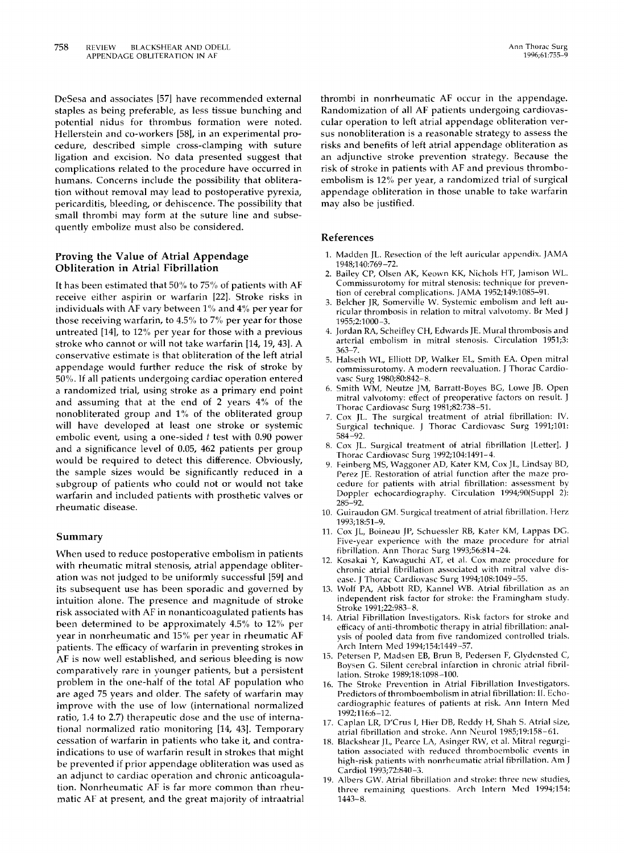DeSesa and associates [57] have recommended external staples as being preferable, as less tissue bunching and potential nidus for thrombus formation were noted. Hellerstein and co-workers [58], in an experimental procedure, described simple cross-clamping with suture ligation and excision. No data presented suggest that complications related to the procedure have occurred in humans. Concerns include the possibility that obliteration without removal may lead to postoperative pyrexia, pericarditis, bleeding, or dehiscence. The possibility that small thrombi may form at the suture line and subsequently embolize must also be considered.

## **Proving the Value of Atrial Appendage Obliteration in Atrial Fibrillation**

It has been estimated that  $50\%$  to  $75\%$  of patients with AF receive either aspirin or warfarin [22]. Stroke risks in individuals with AF vary between 1% and 4% per year for those receiving warfarin, to *4.5%* to 7% per year for those untreated [14], to 12% per year for those with a previous stroke who cannot or will not take warfarin [14, 19, 43]. A conservative estimate is that obliteration of the left atrial appendage would further reduce the risk of stroke by 50%. If all patients undergoing cardiac operation entered a randomized trial, using stroke as a primary end point and assuming that at the end of 2 years 4% of the nonobliterated group and 1% of the obliterated group will have developed at least one stroke or systemic embolic event, using a one-sided t test with 0.90 power and a significance level of 0.05, 462 patients per group would be required to detect this difference. Obviously, the sample sizes would be significantly reduced in a subgroup of patients who could not or would not take warfarin and included patients with prosthetic valves or rheumatic disease.

#### Summary

When used to reduce postoperative embolism in patients with rheumatic mitral stenosis, atrial appendage obliteration was not judged to be uniformly successful [59] and its subsequent use has been sporadic and governed by intuition alone. The presence and magnitude of stroke risk associated with AF in nonanticoagulated patients has been determined to be approximately 4.5% to 12% per year in nonrheumatic and 15% per year in rheumatic AF patients. The efficacy of warfarin in preventing strokes in AF is now well established, and serious bleeding is now comparatively rare in younger patients, but a persistent problem in the one-half of the total AF population who are aged 75 years and older. The safety of warfarin may improve with the use of low (international normalized ratio, 1.4 to 2.7) therapeutic dose and the use of international normalized ratio monitoring [14, 431. Temporary cessation of warfarin in patients who take it, and contraindications to use of warfarin result in strokes that might be prevented if prior appendage obliteration was used as an adjunct to cardiac operation and chronic anticoagulation. Nonrheumatic AF is far more common than rheumatic AF at present, and the great majority of intraatrial thrombi in nonrheumatic AF occur in the appendage. Randomization of all AF patients undergoing cardiovascular operation to left atrial appendage obliteration versus nonobliteration is a reasonable strategy to assess the risks and benefits of left atrial appendage obliteration as an adjunctive stroke prevention strategy. Because the risk of stroke in patients with AF and previous thromboembolism is 12% per year, a randomized trial of surgical appendage obliteration in those unable to take warfarin may also be justified.

#### **References**

- 1. Madden JL. Resection of the left auricular appendix, lAMA 1948;140:769 -72.
- 2. Bailey CP, Olsen AK, Keown KK, Nichols HT, Jamison WE. Commissurotomy for mitral stenosis: technique for prevention of cerebral complications, lAMA 1952;149:1085-91.
- 3. Belcher JR, Somerville W. Systemic embolism and left auricular thrombosis in relation to mitral valvotomy. Br Med J 1955;2:1000-3.
- 4. Jordan RA, Scheifley CH, Edwards JE. Mural thrombosis and arterial embolism in mitral stenosis. Circulation 1951;3: 363-7.
- 5. Halseth WL, Elliott DP, Walker EL, Smith EA. Open mitral commissurotomy. A modern reevaluation. J Thorac Cardiovasc Surg 1980;80:842-8.
- 6. Smith WM, Neutze JM, Barratt-Boyes BG, Lowe lB. Open mitral valvotomy: effect of preoperative factors on result. J Thorac Cardiovasc Surg 1981;82:738-51.
- Cox JL. The surgical treatment of atrial fibrillation: IV. Surgical technique. J Thorac Cardiovasc Surg 1991;101: 584 -92.
- 8. Cox JL. Surgical treatment of atrial fibrillation [Letter]. J Thorac Cardiovasc Surg 1992;104:1491-4.
- 9. Feinberg MS, Waggoner AD, Kater KM, Cox JL, Lindsay BD, Perez JE. Restoration of atrial function after the maze procedure for patients with atrial fibrillation: assessment by Doppler echocardiography. Circulation 1994;90(Suppl 2): 285-92.
- 10. Guiraudon GM. Surgical treatment of atrial fibrillation. Herz 1993;18:51-9.
- 11. Cox IL, Boineau JP, Schuessler RB, Kater KM, Lappas DG. Five-year experience with the maze procedure for atrial fibrillation. Ann Thorac Surg 1993;56:814-24.
- 12. Kosakai Y, Kawaguchi AT, et al. Cox maze procedure for chronic atrial fibrillation associated with mitral valve disease. J Thorac Cardiovasc Surg 1994;108:1049-55.
- 13. Wolf PA, Abbott RD, Kannel WB. Atrial fibrillation as an independent risk factor for stroke: the Framingham study. Stroke 1991;22:983-8.
- 14. Atrial Fibrillation Investigators. Risk factors for stroke and efficacy of anti-thrombotic therapy in atria] fibrillation: analysis of pooled data from five randomized controlled trials. Arch Intern Med 1994;154:1449-57.
- 15. Petersen P, Madsen EB, Brun B, Pedersen F, Glydensted C, Boysen G. Silent cerebral infarction in chronic atrial fibrillation. Stroke 1989;18:1098-100.
- 16. The Stroke Prevention in Atrial Fibrillation Investigators. Predictors of thromboembolism in atrial fibrillation: II. Echocardiographic features of patients at risk. Ann Intern Med 1992;116:6-12.
- 17. Caplan LR, D'Crus [, Hier DB, Reddy H, Shah S. Atrial size, atrial fibrillation and stroke. Ann Neurol 1985;19:158-61.
- 18. Blackshear JL, Pearce LA, Asinger RW, et al. Mitral regurgitation associated with reduced thromboembolic events in high-risk patients with nonrheumatic atrial fibrillation. Am J Cardiol 1993;72:840-3.
- 19. Albers GW. Atrial fibrillation and stroke: three new studies, three remaining questions. Arch Intern Med 1994;154: 1443-8.